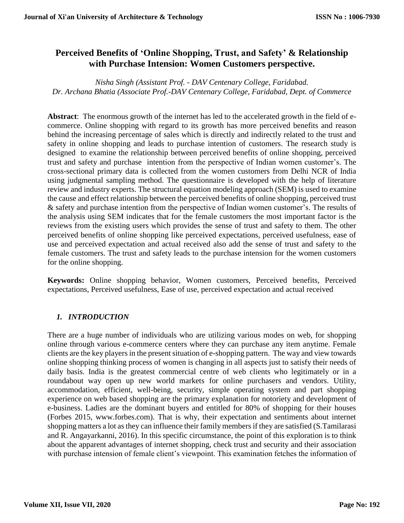# **Perceived Benefits of 'Online Shopping, Trust, and Safety' & Relationship with Purchase Intension: Women Customers perspective.**

*Nisha Singh (Assistant Prof. - DAV Centenary College, Faridabad. Dr. Archana Bhatia (Associate Prof.-DAV Centenary College, Faridabad, Dept. of Commerce*

**Abstract**: The enormous growth of the internet has led to the accelerated growth in the field of ecommerce. Online shopping with regard to its growth has more perceived benefits and reason behind the increasing percentage of sales which is directly and indirectly related to the trust and safety in online shopping and leads to purchase intention of customers. The research study is designed to examine the relationship between perceived benefits of online shopping, perceived trust and safety and purchase intention from the perspective of Indian women customer's. The cross-sectional primary data is collected from the women customers from Delhi NCR of India using judgmental sampling method. The questionnaire is developed with the help of literature review and industry experts. The structural equation modeling approach (SEM) is used to examine the cause and effect relationship between the perceived benefits of online shopping, perceived trust & safety and purchase intention from the perspective of Indian women customer's. The results of the analysis using SEM indicates that for the female customers the most important factor is the reviews from the existing users which provides the sense of trust and safety to them. The other perceived benefits of online shopping like perceived expectations, perceived usefulness, ease of use and perceived expectation and actual received also add the sense of trust and safety to the female customers. The trust and safety leads to the purchase intension for the women customers for the online shopping.

**Keywords:** Online shopping behavior, Women customers, Perceived benefits, Perceived expectations, Perceived usefulness, Ease of use, perceived expectation and actual received

# *1. INTRODUCTION*

There are a huge number of individuals who are utilizing various modes on web, for shopping online through various e-commerce centers where they can purchase any item anytime. Female clients are the key players in the present situation of e-shopping pattern. The way and view towards online shopping thinking process of women is changing in all aspects just to satisfy their needs of daily basis. India is the greatest commercial centre of web clients who legitimately or in a roundabout way open up new world markets for online purchasers and vendors. Utility, accommodation, efficient, well-being, security, simple operating system and part shopping experience on web based shopping are the primary explanation for notoriety and development of e-business. Ladies are the dominant buyers and entitled for 80% of shopping for their houses (Forbes 2015, www.forbes.com). That is why, their expectation and sentiments about internet shopping matters a lot as they can influence their family members if they are satisfied (S.Tamilarasi and R. Angayarkanni, 2016). In this specific circumstance, the point of this exploration is to think about the apparent advantages of internet shopping, check trust and security and their association with purchase intension of female client's viewpoint. This examination fetches the information of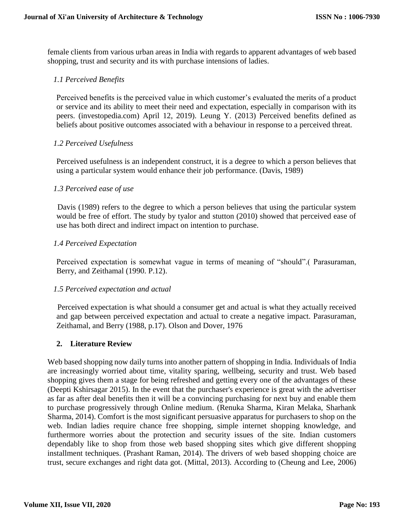female clients from various urban areas in India with regards to apparent advantages of web based shopping, trust and security and its with purchase intensions of ladies.

# *1.1 Perceived Benefits*

Perceived benefits is the perceived value in which customer's evaluated the merits of a product or service and its ability to meet their need and expectation, especially in comparison with its peers. (investopedia.com) April 12, 2019). Leung Y. (2013) Perceived benefits defined as beliefs about positive outcomes associated with a behaviour in response to a perceived threat.

### *1.2 Perceived Usefulness*

Perceived usefulness is an independent construct, it is a degree to which a person believes that using a particular system would enhance their job performance. (Davis, 1989)

# *1.3 Perceived ease of use*

Davis (1989) refers to the degree to which a person believes that using the particular system would be free of effort. The study by tyalor and stutton (2010) showed that perceived ease of use has both direct and indirect impact on intention to purchase.

# *1.4 Perceived Expectation*

Perceived expectation is somewhat vague in terms of meaning of "should".( Parasuraman, Berry, and Zeithamal (1990. P.12).

### *1.5 Perceived expectation and actual*

 Perceived expectation is what should a consumer get and actual is what they actually received and gap between perceived expectation and actual to create a negative impact. Parasuraman, Zeithamal, and Berry (1988, p.17). Olson and Dover, 1976

### **2. Literature Review**

Web based shopping now daily turns into another pattern of shopping in India. Individuals of India are increasingly worried about time, vitality sparing, wellbeing, security and trust. Web based shopping gives them a stage for being refreshed and getting every one of the advantages of these (Deepti Kshirsagar 2015). In the event that the purchaser's experience is great with the advertiser as far as after deal benefits then it will be a convincing purchasing for next buy and enable them to purchase progressively through Online medium. (Renuka Sharma, Kiran Melaka, Sharhank Sharma, 2014). Comfort is the most significant persuasive apparatus for purchasers to shop on the web. Indian ladies require chance free shopping, simple internet shopping knowledge, and furthermore worries about the protection and security issues of the site. Indian customers dependably like to shop from those web based shopping sites which give different shopping installment techniques. (Prashant Raman, 2014). The drivers of web based shopping choice are trust, secure exchanges and right data got. (Mittal, 2013). According to (Cheung and Lee, 2006)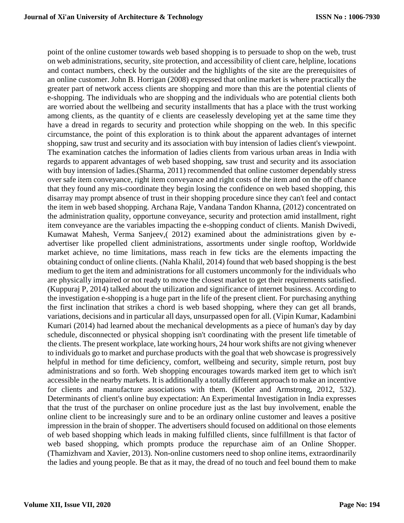point of the online customer towards web based shopping is to persuade to shop on the web, trust on web administrations, security, site protection, and accessibility of client care, helpline, locations and contact numbers, check by the outsider and the highlights of the site are the prerequisites of an online customer. John B. Horrigan (2008) expressed that online market is where practically the greater part of network access clients are shopping and more than this are the potential clients of e-shopping. The individuals who are shopping and the individuals who are potential clients both are worried about the wellbeing and security installments that has a place with the trust working among clients, as the quantity of e clients are ceaselessly developing yet at the same time they have a dread in regards to security and protection while shopping on the web. In this specific circumstance, the point of this exploration is to think about the apparent advantages of internet shopping, saw trust and security and its association with buy intension of ladies client's viewpoint. The examination catches the information of ladies clients from various urban areas in India with regards to apparent advantages of web based shopping, saw trust and security and its association with buy intension of ladies.(Sharma, 2011) recommended that online customer dependably stress over safe item conveyance, right item conveyance and right costs of the item and on the off chance that they found any mis-coordinate they begin losing the confidence on web based shopping, this disarray may prompt absence of trust in their shopping procedure since they can't feel and contact the item in web based shopping. Archana Raje, Vandana Tandon Khanna, (2012) concentrated on the administration quality, opportune conveyance, security and protection amid installment, right item conveyance are the variables impacting the e-shopping conduct of clients. Manish Dwivedi, Kumawat Mahesh, Verma Sanjeev,( 2012) examined about the administrations given by eadvertiser like propelled client administrations, assortments under single rooftop, Worldwide market achieve, no time limitations, mass reach in few ticks are the elements impacting the obtaining conduct of online clients. (Nahla Khalil, 2014) found that web based shopping is the best medium to get the item and administrations for all customers uncommonly for the individuals who are physically impaired or not ready to move the closest market to get their requirements satisfied. (Kuppuraj P, 2014) talked about the utilization and significance of internet business. According to the investigation e-shopping is a huge part in the life of the present client. For purchasing anything the first inclination that strikes a chord is web based shopping, where they can get all brands, variations, decisions and in particular all days, unsurpassed open for all. (Vipin Kumar, Kadambini Kumari (2014) had learned about the mechanical developments as a piece of human's day by day schedule, disconnected or physical shopping isn't coordinating with the present life timetable of the clients. The present workplace, late working hours, 24 hour work shifts are not giving whenever to individuals go to market and purchase products with the goal that web showcase is progressively helpful in method for time deficiency, comfort, wellbeing and security, simple return, post buy administrations and so forth. Web shopping encourages towards marked item get to which isn't accessible in the nearby markets. It is additionally a totally different approach to make an incentive for clients and manufacture associations with them. (Kotler and Armstrong, 2012, 532). Determinants of client's online buy expectation: An Experimental Investigation in India expresses that the trust of the purchaser on online procedure just as the last buy involvement, enable the online client to be increasingly sure and to be an ordinary online customer and leaves a positive impression in the brain of shopper. The advertisers should focused on additional on those elements of web based shopping which leads in making fulfilled clients, since fulfillment is that factor of web based shopping, which prompts produce the repurchase aim of an Online Shopper. (Thamizhvam and Xavier, 2013). Non-online customers need to shop online items, extraordinarily the ladies and young people. Be that as it may, the dread of no touch and feel bound them to make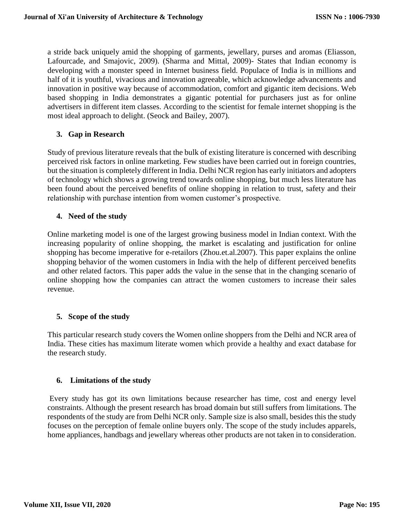a stride back uniquely amid the shopping of garments, jewellary, purses and aromas (Eliasson, Lafourcade, and Smajovic, 2009). (Sharma and Mittal, 2009)- States that Indian economy is developing with a monster speed in Internet business field. Populace of India is in millions and half of it is youthful, vivacious and innovation agreeable, which acknowledge advancements and innovation in positive way because of accommodation, comfort and gigantic item decisions. Web based shopping in India demonstrates a gigantic potential for purchasers just as for online advertisers in different item classes. According to the scientist for female internet shopping is the most ideal approach to delight. (Seock and Bailey, 2007).

# **3. Gap in Research**

Study of previous literature reveals that the bulk of existing literature is concerned with describing perceived risk factors in online marketing. Few studies have been carried out in foreign countries, but the situation is completely different in India. Delhi NCR region has early initiators and adopters of technology which shows a growing trend towards online shopping, but much less literature has been found about the perceived benefits of online shopping in relation to trust, safety and their relationship with purchase intention from women customer's prospective.

# **4. Need of the study**

Online marketing model is one of the largest growing business model in Indian context. With the increasing popularity of online shopping, the market is escalating and justification for online shopping has become imperative for e-retailors (Zhou.et.al.2007). This paper explains the online shopping behavior of the women customers in India with the help of different perceived benefits and other related factors. This paper adds the value in the sense that in the changing scenario of online shopping how the companies can attract the women customers to increase their sales revenue.

### **5. Scope of the study**

This particular research study covers the Women online shoppers from the Delhi and NCR area of India. These cities has maximum literate women which provide a healthy and exact database for the research study.

### **6. Limitations of the study**

Every study has got its own limitations because researcher has time, cost and energy level constraints. Although the present research has broad domain but still suffers from limitations. The respondents of the study are from Delhi NCR only. Sample size is also small, besides this the study focuses on the perception of female online buyers only. The scope of the study includes apparels, home appliances, handbags and jewellary whereas other products are not taken in to consideration.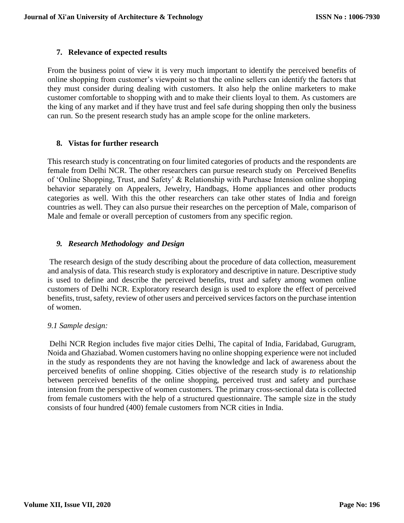# **7. Relevance of expected results**

From the business point of view it is very much important to identify the perceived benefits of online shopping from customer's viewpoint so that the online sellers can identify the factors that they must consider during dealing with customers. It also help the online marketers to make customer comfortable to shopping with and to make their clients loyal to them. As customers are the king of any market and if they have trust and feel safe during shopping then only the business can run. So the present research study has an ample scope for the online marketers.

# **8. Vistas for further research**

This research study is concentrating on four limited categories of products and the respondents are female from Delhi NCR. The other researchers can pursue research study on Perceived Benefits of 'Online Shopping, Trust, and Safety' & Relationship with Purchase Intension online shopping behavior separately on Appealers, Jewelry, Handbags, Home appliances and other products categories as well. With this the other researchers can take other states of India and foreign countries as well. They can also pursue their researches on the perception of Male, comparison of Male and female or overall perception of customers from any specific region.

# *9. Research Methodology and Design*

The research design of the study describing about the procedure of data collection, measurement and analysis of data. This research study is exploratory and descriptive in nature. Descriptive study is used to define and describe the perceived benefits, trust and safety among women online customers of Delhi NCR. Exploratory research design is used to explore the effect of perceived benefits, trust, safety, review of other users and perceived services factors on the purchase intention of women.

### *9.1 Sample design:*

Delhi NCR Region includes five major cities Delhi, The capital of India, Faridabad, Gurugram, Noida and Ghaziabad. Women customers having no online shopping experience were not included in the study as respondents they are not having the knowledge and lack of awareness about the perceived benefits of online shopping. Cities objective of the research study is *to* relationship between perceived benefits of the online shopping, perceived trust and safety and purchase intension from the perspective of women customers*.* The primary cross-sectional data is collected from female customers with the help of a structured questionnaire. The sample size in the study consists of four hundred (400) female customers from NCR cities in India.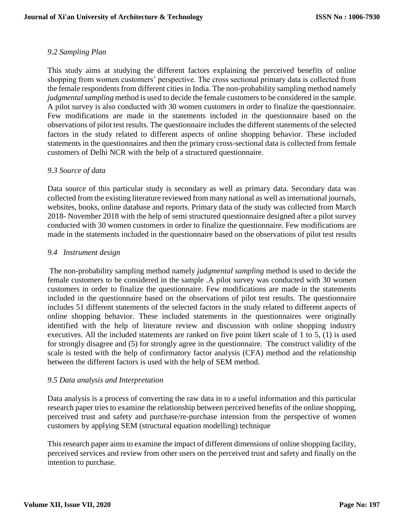# *9.2 Sampling Plan*

This study aims at studying the different factors explaining the perceived benefits of online shopping from women customers' perspective. The cross sectional primary data is collected from the female respondents from different cities in India. The non-probability sampling method namely *judgmental sampling* method is used to decide the female customers to be considered in the sample. A pilot survey is also conducted with 30 women customers in order to finalize the questionnaire. Few modifications are made in the statements included in the questionnaire based on the observations of pilot test results. The questionnaire includes the different statements of the selected factors in the study related to different aspects of online shopping behavior. These included statements in the questionnaires and then the primary cross-sectional data is collected from female customers of Delhi NCR with the help of a structured questionnaire.

### *9.3 Source of data*

Data source of this particular study is secondary as well as primary data. Secondary data was collected from the existing literature reviewed from many national as well as international journals, websites, books, online database and reports. Primary data of the study was collected from March 2018- November 2018 with the help of semi structured questionnaire designed after a pilot survey conducted with 30 women customers in order to finalize the questionnaire. Few modifications are made in the statements included in the questionnaire based on the observations of pilot test results

### *9.4 Instrument design*

The non-probability sampling method namely *judgmental sampling* method is used to decide the female customers to be considered in the sample .A pilot survey was conducted with 30 women customers in order to finalize the questionnaire. Few modifications are made in the statements included in the questionnaire based on the observations of pilot test results. The questionnaire includes 51 different statements of the selected factors in the study related to different aspects of online shopping behavior. These included statements in the questionnaires were originally identified with the help of literature review and discussion with online shopping industry executives. All the included statements are ranked on five point likert scale of 1 to 5, (1) is used for strongly disagree and (5) for strongly agree in the questionnaire. The construct validity of the scale is tested with the help of confirmatory factor analysis (CFA) method and the relationship between the different factors is used with the help of SEM method.

### *9.5 Data analysis and Interpretation*

Data analysis is a process of converting the raw data in to a useful information and this particular research paper tries to examine the relationship between perceived benefits of the online shopping, perceived trust and safety and purchase/re-purchase intension from the perspective of women customers by applying SEM (structural equation modelling) technique

This research paper aims to examine the impact of different dimensions of online shopping facility, perceived services and review from other users on the perceived trust and safety and finally on the intention to purchase.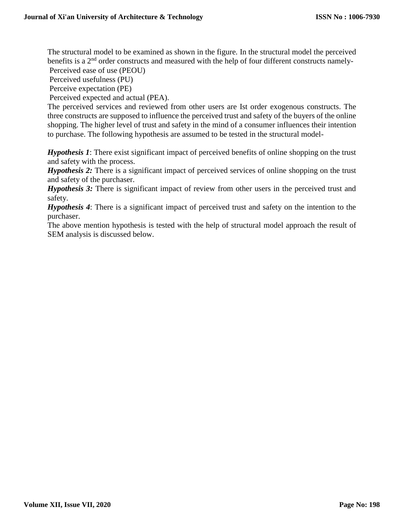The structural model to be examined as shown in the figure. In the structural model the perceived benefits is a 2<sup>nd</sup> order constructs and measured with the help of four different constructs namely-Perceived ease of use (PEOU)

Perceived usefulness (PU)

Perceive expectation (PE)

Perceived expected and actual (PEA).

The perceived services and reviewed from other users are Ist order exogenous constructs. The three constructs are supposed to influence the perceived trust and safety of the buyers of the online shopping. The higher level of trust and safety in the mind of a consumer influences their intention to purchase. The following hypothesis are assumed to be tested in the structural model-

*Hypothesis 1*: There exist significant impact of perceived benefits of online shopping on the trust and safety with the process.

*Hypothesis 2:* There is a significant impact of perceived services of online shopping on the trust and safety of the purchaser.

*Hypothesis 3:* There is significant impact of review from other users in the perceived trust and safety.

*Hypothesis 4*: There is a significant impact of perceived trust and safety on the intention to the purchaser.

The above mention hypothesis is tested with the help of structural model approach the result of SEM analysis is discussed below.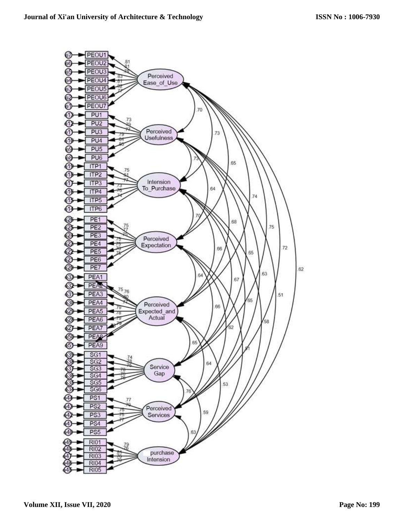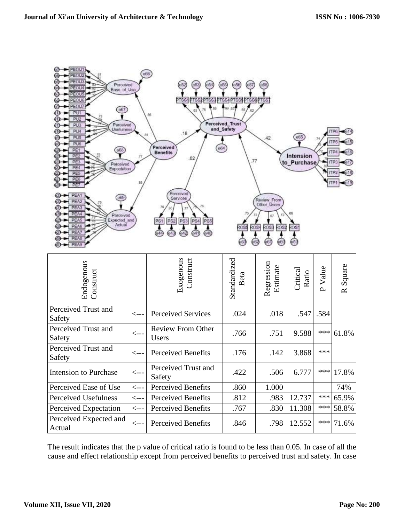| <b>ED-PEOU1</b><br>Perceived<br>Ease of Use<br>PEOU6<br>e67<br>PU <sup>-</sup><br>PU <sub>2</sub><br>Perceived<br>PU <sub>3</sub><br><b>Jsefulnes</b><br>PU<br>PU <sub>5</sub><br>PU6<br>PE <sup>-</sup><br>668<br>PE2<br>PE.<br>Perceived<br>PE4<br>Expectation<br>PE5<br>PEG<br>PET<br>PEA1<br>PE<br>PEA3<br>PEA4<br>Perceived<br>Expected and<br>PEA5<br>Actual<br>PEA6<br>PEA <sup>®</sup><br>PEA <sub>8</sub><br>PEAS | 81               | PTSS1PTSS2PTSS1<br>码<br>.18<br>Perceived<br>664<br><b>Benefits</b><br>.02<br>Perceived<br>Services<br>PS3<br>PS4<br>PS.<br>PS <sub>2</sub><br>a42 | PTSS4 PTSS4 PTSS4 PTSS1<br>63<br>ŘŔ<br>R0<br>Perceived_Trust<br>and Safety<br>.77<br><b>ROS</b> | 42<br>Review From<br>Other Users<br>67<br>ROS2<br>ROS:<br>в6 | Intension<br>to_Purchase<br>₹OS | <b>ITP</b> | ITP3     |
|----------------------------------------------------------------------------------------------------------------------------------------------------------------------------------------------------------------------------------------------------------------------------------------------------------------------------------------------------------------------------------------------------------------------------|------------------|---------------------------------------------------------------------------------------------------------------------------------------------------|-------------------------------------------------------------------------------------------------|--------------------------------------------------------------|---------------------------------|------------|----------|
| Endogenous<br>Construct                                                                                                                                                                                                                                                                                                                                                                                                    |                  | Exogenous<br>$\mathop{\mathrm{Construct}}$                                                                                                        | Standardized<br>Beta                                                                            | Regression<br>Estimate                                       | Critical<br>Ratio               | P Value    | R Square |
| Perceived Trust and<br>Safety                                                                                                                                                                                                                                                                                                                                                                                              | <---             | <b>Perceived Services</b>                                                                                                                         | .024                                                                                            | .018                                                         | .547                            | .584       |          |
| Perceived Trust and<br>Safety                                                                                                                                                                                                                                                                                                                                                                                              | $\leftarrow$ --- | <b>Review From Other</b><br>Users                                                                                                                 | .766                                                                                            | .751                                                         | 9.588                           | ***        | 61.8%    |
| Perceived Trust and<br>Safety                                                                                                                                                                                                                                                                                                                                                                                              | <---             | <b>Perceived Benefits</b>                                                                                                                         | .176                                                                                            | .142                                                         | 3.868                           | ***        |          |
| <b>Intension to Purchase</b>                                                                                                                                                                                                                                                                                                                                                                                               | $\leftarrow$ --- | Perceived Trust and<br>Safety                                                                                                                     | .422                                                                                            | .506                                                         | 6.777                           | ***        | 17.8%    |
| Perceived Ease of Use                                                                                                                                                                                                                                                                                                                                                                                                      | $\leftarrow$ --- | <b>Perceived Benefits</b>                                                                                                                         | .860                                                                                            | 1.000                                                        |                                 |            | 74%      |
| Perceived Usefulness                                                                                                                                                                                                                                                                                                                                                                                                       | $\leftarrow$ --- | Perceived Benefits                                                                                                                                | .812                                                                                            | .983                                                         | 12.737                          | ***        | 65.9%    |
| Perceived Expectation                                                                                                                                                                                                                                                                                                                                                                                                      | $\leftarrow$ --- | <b>Perceived Benefits</b>                                                                                                                         | .767                                                                                            | .830                                                         | 11.308                          | ***        | 58.8%    |
| Perceived Expected and<br>Actual                                                                                                                                                                                                                                                                                                                                                                                           | $\leftarrow$ --- | Perceived Benefits                                                                                                                                | .846                                                                                            | .798                                                         | 12.552                          | ***        | 71.6%    |

The result indicates that the p value of critical ratio is found to be less than 0.05. In case of all the cause and effect relationship except from perceived benefits to perceived trust and safety. In case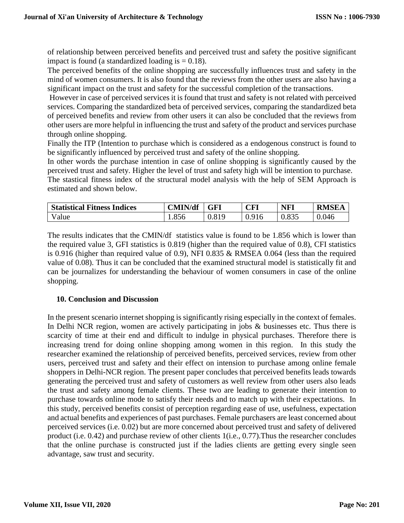of relationship between perceived benefits and perceived trust and safety the positive significant impact is found (a standardized loading is  $= 0.18$ ).

The perceived benefits of the online shopping are successfully influences trust and safety in the mind of women consumers. It is also found that the reviews from the other users are also having a significant impact on the trust and safety for the successful completion of the transactions.

However in case of perceived services it is found that trust and safety is not related with perceived services. Comparing the standardized beta of perceived services, comparing the standardized beta of perceived benefits and review from other users it can also be concluded that the reviews from other users are more helpful in influencing the trust and safety of the product and services purchase through online shopping.

Finally the ITP (Intention to purchase which is considered as a endogenous construct is found to be significantly influenced by perceived trust and safety of the online shopping.

In other words the purchase intention in case of online shopping is significantly caused by the perceived trust and safety. Higher the level of trust and safety high will be intention to purchase.

The stastical fitness index of the structural model analysis with the help of SEM Approach is estimated and shown below.

| <b>Statistical Fitness Indices</b> | <b>CMIN/df</b> | <b>GFI</b> | $\gamma_{\rm Fl}$ | <b>NFI</b> | <b>RMSEA</b> |
|------------------------------------|----------------|------------|-------------------|------------|--------------|
| Value                              | .856           |            | 0.916             |            | 046          |

The results indicates that the CMIN/df statistics value is found to be 1.856 which is lower than the required value 3, GFI statistics is 0.819 (higher than the required value of 0.8), CFI statistics is 0.916 (higher than required value of 0.9), NFI 0.835 & RMSEA 0.064 (less than the required value of 0.08). Thus it can be concluded that the examined structural model is statistically fit and can be journalizes for understanding the behaviour of women consumers in case of the online shopping.

# **10. Conclusion and Discussion**

In the present scenario internet shopping is significantly rising especially in the context of females. In Delhi NCR region, women are actively participating in jobs & businesses etc. Thus there is scarcity of time at their end and difficult to indulge in physical purchases. Therefore there is increasing trend for doing online shopping among women in this region. In this study the researcher examined the relationship of perceived benefits, perceived services, review from other users, perceived trust and safety and their effect on intension to purchase among online female shoppers in Delhi-NCR region. The present paper concludes that perceived benefits leads towards generating the perceived trust and safety of customers as well review from other users also leads the trust and safety among female clients. These two are leading to generate their intention to purchase towards online mode to satisfy their needs and to match up with their expectations. In this study, perceived benefits consist of perception regarding ease of use, usefulness, expectation and actual benefits and experiences of past purchases. Female purchasers are least concerned about perceived services (i.e. 0.02) but are more concerned about perceived trust and safety of delivered product (i.e. 0.42) and purchase review of other clients 1(i.e., 0.77).Thus the researcher concludes that the online purchase is constructed just if the ladies clients are getting every single seen advantage, saw trust and security.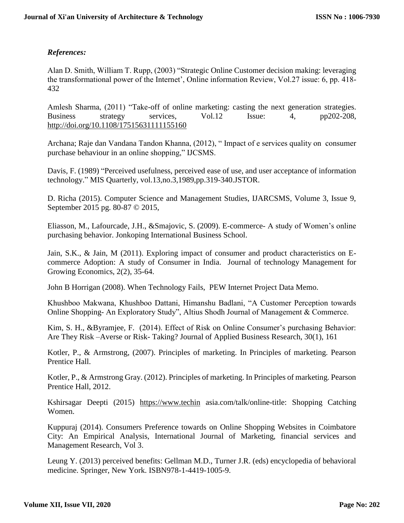# *References:*

Alan D. Smith, William T. Rupp, (2003) "Strategic Online Customer decision making: leveraging the transformational power of the Internet', Online information Review, Vol.27 issue: 6, pp. 418- 432

Amlesh Sharma, (2011) "Take-off of online marketing: casting the next generation strategies. Business strategy services, Vol.12 Issue: 4, pp202-208, <http://doi.org/10.1108/17515631111155160>

Archana; Raje dan Vandana Tandon Khanna, (2012), " Impact of e services quality on consumer purchase behaviour in an online shopping," IJCSMS.

Davis, F. (1989) "Perceived usefulness, perceived ease of use, and user acceptance of information technology." MIS Quarterly, vol.13,no.3,1989,pp.319-340.JSTOR.

D. Richa (2015). Computer Science and Management Studies, IJARCSMS, Volume 3, Issue 9, September 2015 pg. 80-87 © 2015,

Eliasson, M., Lafourcade, J.H., &Smajovic, S. (2009). E-commerce- A study of Women's online purchasing behavior. Jonkoping International Business School.

Jain, S.K., & Jain, M (2011). Exploring impact of consumer and product characteristics on Ecommerce Adoption: A study of Consumer in India. Journal of technology Management for Growing Economics, 2(2), 35-64.

John B Horrigan (2008). When Technology Fails, PEW Internet Project Data Memo.

Khushboo Makwana, Khushboo Dattani, Himanshu Badlani, "A Customer Perception towards Online Shopping- An Exploratory Study", Altius Shodh Journal of Management & Commerce.

Kim, S. H., &Byramjee, F. (2014). Effect of Risk on Online Consumer's purchasing Behavior: Are They Risk –Averse or Risk- Taking? Journal of Applied Business Research, 30(1), 161

Kotler, P., & Armstrong, (2007). Principles of marketing. In Principles of marketing. Pearson Prentice Hall.

Kotler, P., & Armstrong Gray. (2012). Principles of marketing. In Principles of marketing. Pearson Prentice Hall, 2012.

Kshirsagar Deepti (2015) [https://www.techin](https://www.techin/) asia.com/talk/online-title: Shopping Catching Women.

Kuppuraj (2014). Consumers Preference towards on Online Shopping Websites in Coimbatore City: An Empirical Analysis, International Journal of Marketing, financial services and Management Research, Vol 3.

Leung Y. (2013) perceived benefits: Gellman M.D., Turner J.R. (eds) encyclopedia of behavioral medicine. Springer, New York. ISBN978-1-4419-1005-9.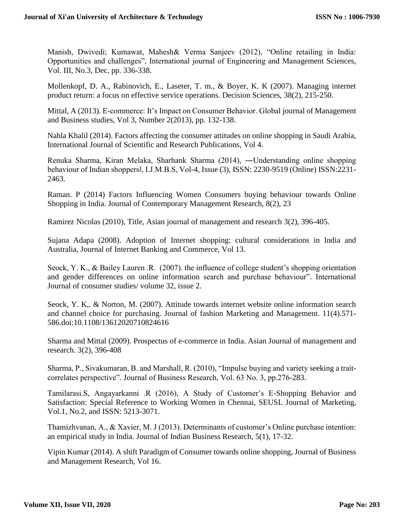Manish, Dwivedi; Kumawat, Mahesh& Verma Sanjeev (2012), "Online retailing in India: Opportunities and challenges", International journal of Engineering and Management Sciences, Vol. III, No.3, Dec, pp. 336-338.

Mollenkopf, D. A., Rabinovich, E., Laseter, T. m., & Boyer, K. K (2007). Managing internet product return: a focus on effective service operations. Decision Sciences, 38(2), 215-250.

Mittal, A (2013). E-commerce: It's Impact on Consumer Behavior. Global journal of Management and Business studies, Vol 3, Number 2(2013), pp. 132-138.

Nahla Khalil (2014). Factors affecting the consumer attitudes on online shopping in Saudi Arabia, International Journal of Scientific and Research Publications, Vol 4.

Renuka Sharma, Kiran Melaka, Sharhank Sharma (2014), ―Understanding online shopping behaviour of Indian shoppers‖, I.J.M.B.S, Vol-4, Issue (3), ISSN: 2230-9519 (Online) ISSN:2231- 2463.

Raman. P (2014) Factors Influencing Women Consumers buying behaviour towards Online Shopping in India. Journal of Contemporary Management Research, 8(2), 23

Ramirez Nicolas (2010), Title, Asian journal of management and research 3(2), 396-405.

Sujana Adapa (2008). Adoption of Internet shopping: cultural considerations in India and Australia, Journal of Internet Banking and Commerce, Vol 13.

Seock, Y. K., & Bailey Lauren .R. (2007). the influence of college student's shopping orientation and gender differences on online information search and purchase behaviour". International Journal of consumer studies/ volume 32, issue 2.

Seock, Y. K,. & Norton, M. (2007). Attitude towards internet website online information search and channel choice for purchasing. Journal of fashion Marketing and Management. 11(4).571- 586.doi:10.1108/13612020710824616

Sharma and Mittal (2009). Prospectus of e-commerce in India. Asian Journal of management and research. 3(2), 396-408

Sharma, P., Sivakumaran, B. and Marshall, R. (2010), "Impulse buying and variety seeking a traitcorrelates perspective". Journal of Business Research, Vol. 63 No. 3, pp.276-283.

Tamilarasi.S, Angayarkanni .R (2016), A Study of Customer's E-Shopping Behavior and Satisfaction: Special Reference to Working Women in Chennai, SEUSL Journal of Marketing, Vol.1, No.2, and ISSN: 5213-3071.

Thamizhvanan, A., & Xavier, M. J (2013). Determinants of customer's Online purchase intention: an empirical study in India. Journal of Indian Business Research, 5(1), 17-32.

Vipin Kumar (2014). A shift Paradigm of Consumer towards online shopping, Journal of Business and Management Research, Vol 16.